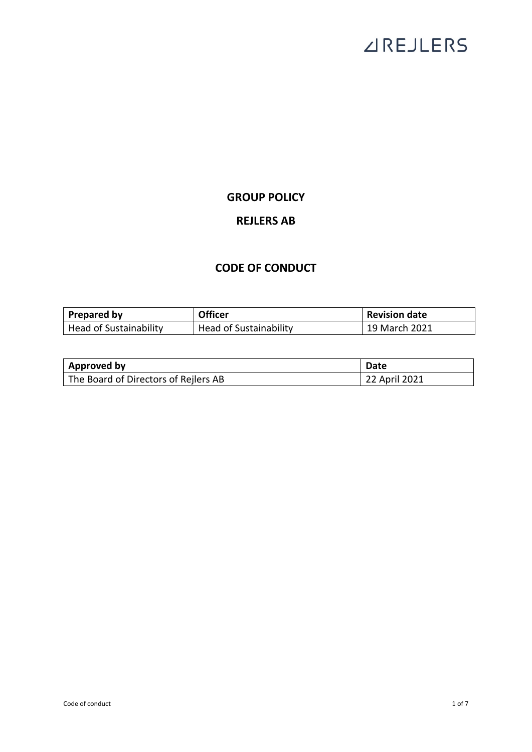# **ZIREJLERS**

### **GROUP POLICY**

## **REJLERS AB**

### **CODE OF CONDUCT**

| Prepared by                   | <b>Officer</b>         | <b>Revision date</b> |
|-------------------------------|------------------------|----------------------|
| <b>Head of Sustainability</b> | Head of Sustainability | 19 March 2021        |

| Approved by                          | Date          |
|--------------------------------------|---------------|
| The Board of Directors of Rejlers AB | 22 April 2021 |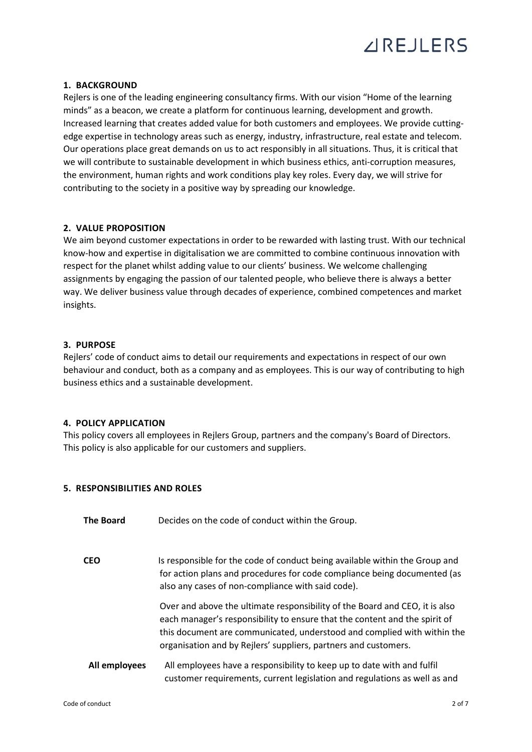

#### **1. BACKGROUND**

Rejlers is one of the leading engineering consultancy firms. With our vision "Home of the learning minds" as a beacon, we create a platform for continuous learning, development and growth. Increased learning that creates added value for both customers and employees. We provide cuttingedge expertise in technology areas such as energy, industry, infrastructure, real estate and telecom. Our operations place great demands on us to act responsibly in all situations. Thus, it is critical that we will contribute to sustainable development in which business ethics, anti-corruption measures, the environment, human rights and work conditions play key roles. Every day, we will strive for contributing to the society in a positive way by spreading our knowledge.

#### **2. VALUE PROPOSITION**

We aim beyond customer expectations in order to be rewarded with lasting trust. With our technical know-how and expertise in digitalisation we are committed to combine continuous innovation with respect for the planet whilst adding value to our clients' business. We welcome challenging assignments by engaging the passion of our talented people, who believe there is always a better way. We deliver business value through decades of experience, combined competences and market insights.

#### **3. PURPOSE**

Rejlers' code of conduct aims to detail our requirements and expectations in respect of our own behaviour and conduct, both as a company and as employees. This is our way of contributing to high business ethics and a sustainable development.

#### **4. POLICY APPLICATION**

This policy covers all employees in Rejlers Group, partners and the company's Board of Directors. This policy is also applicable for our customers and suppliers.

#### **5. RESPONSIBILITIES AND ROLES**

| <b>The Board</b> | Decides on the code of conduct within the Group.                                                                                                                                                                                                                                                        |
|------------------|---------------------------------------------------------------------------------------------------------------------------------------------------------------------------------------------------------------------------------------------------------------------------------------------------------|
| <b>CEO</b>       | Is responsible for the code of conduct being available within the Group and<br>for action plans and procedures for code compliance being documented (as<br>also any cases of non-compliance with said code).                                                                                            |
|                  | Over and above the ultimate responsibility of the Board and CEO, it is also<br>each manager's responsibility to ensure that the content and the spirit of<br>this document are communicated, understood and complied with within the<br>organisation and by Rejlers' suppliers, partners and customers. |
| All employees    | All employees have a responsibility to keep up to date with and fulfil<br>customer requirements, current legislation and regulations as well as and                                                                                                                                                     |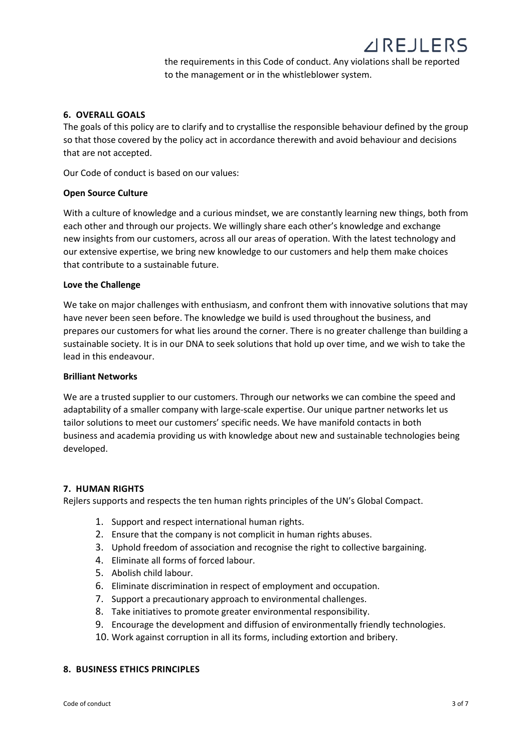the requirements in this Code of conduct. Any violations shall be reported to the management or in the whistleblower system.

#### **6. OVERALL GOALS**

The goals of this policy are to clarify and to crystallise the responsible behaviour defined by the group so that those covered by the policy act in accordance therewith and avoid behaviour and decisions that are not accepted.

Our Code of conduct is based on our values:

#### **Open Source Culture**

With a culture of knowledge and a curious mindset, we are constantly learning new things, both from each other and through our projects. We willingly share each other's knowledge and exchange new insights from our customers, across all our areas of operation. With the latest technology and our extensive expertise, we bring new knowledge to our customers and help them make choices that contribute to a sustainable future.

#### **Love the Challenge**

We take on major challenges with enthusiasm, and confront them with innovative solutions that may have never been seen before. The knowledge we build is used throughout the business, and prepares our customers for what lies around the corner. There is no greater challenge than building a sustainable society. It is in our DNA to seek solutions that hold up over time, and we wish to take the lead in this endeavour.

#### **Brilliant Networks**

We are a trusted supplier to our customers. Through our networks we can combine the speed and adaptability of a smaller company with large-scale expertise. Our unique partner networks let us tailor solutions to meet our customers' specific needs. We have manifold contacts in both business and academia providing us with knowledge about new and sustainable technologies being developed.

#### **7. HUMAN RIGHTS**

Rejlers supports and respects the ten human rights principles of the UN's Global Compact.

- 1. Support and respect international human rights.
- 2. Ensure that the company is not complicit in human rights abuses.
- 3. Uphold freedom of association and recognise the right to collective bargaining.
- 4. Eliminate all forms of forced labour.
- 5. Abolish child labour.
- 6. Eliminate discrimination in respect of employment and occupation.
- 7. Support a precautionary approach to environmental challenges.
- 8. Take initiatives to promote greater environmental responsibility.
- 9. Encourage the development and diffusion of environmentally friendly technologies.
- 10. Work against corruption in all its forms, including extortion and bribery.

#### **8. BUSINESS ETHICS PRINCIPLES**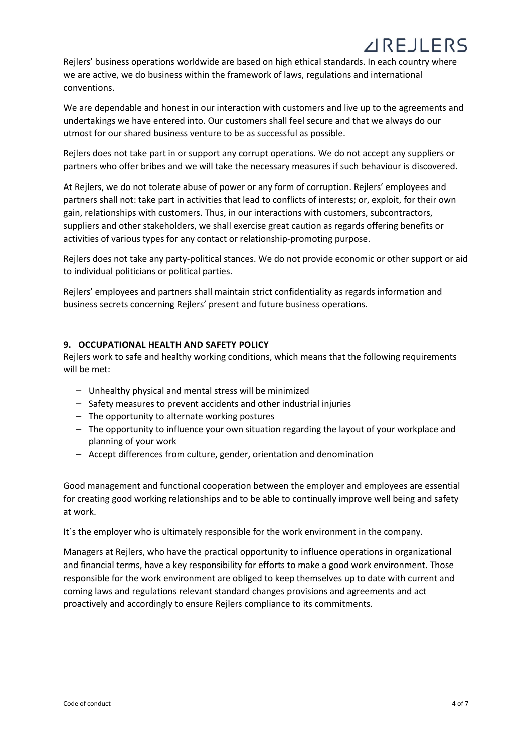Rejlers' business operations worldwide are based on high ethical standards. In each country where we are active, we do business within the framework of laws, regulations and international conventions.

We are dependable and honest in our interaction with customers and live up to the agreements and undertakings we have entered into. Our customers shall feel secure and that we always do our utmost for our shared business venture to be as successful as possible.

Rejlers does not take part in or support any corrupt operations. We do not accept any suppliers or partners who offer bribes and we will take the necessary measures if such behaviour is discovered.

At Rejlers, we do not tolerate abuse of power or any form of corruption. Rejlers' employees and partners shall not: take part in activities that lead to conflicts of interests; or, exploit, for their own gain, relationships with customers. Thus, in our interactions with customers, subcontractors, suppliers and other stakeholders, we shall exercise great caution as regards offering benefits or activities of various types for any contact or relationship-promoting purpose.

Rejlers does not take any party-political stances. We do not provide economic or other support or aid to individual politicians or political parties.

Rejlers' employees and partners shall maintain strict confidentiality as regards information and business secrets concerning Rejlers' present and future business operations.

#### **9. OCCUPATIONAL HEALTH AND SAFETY POLICY**

Rejlers work to safe and healthy working conditions, which means that the following requirements will be met:

- Unhealthy physical and mental stress will be minimized
- Safety measures to prevent accidents and other industrial injuries
- The opportunity to alternate working postures
- The opportunity to influence your own situation regarding the layout of your workplace and planning of your work
- Accept differences from culture, gender, orientation and denomination

Good management and functional cooperation between the employer and employees are essential for creating good working relationships and to be able to continually improve well being and safety at work.

It´s the employer who is ultimately responsible for the work environment in the company.

Managers at Rejlers, who have the practical opportunity to influence operations in organizational and financial terms, have a key responsibility for efforts to make a good work environment. Those responsible for the work environment are obliged to keep themselves up to date with current and coming laws and regulations relevant standard changes provisions and agreements and act proactively and accordingly to ensure Rejlers compliance to its commitments.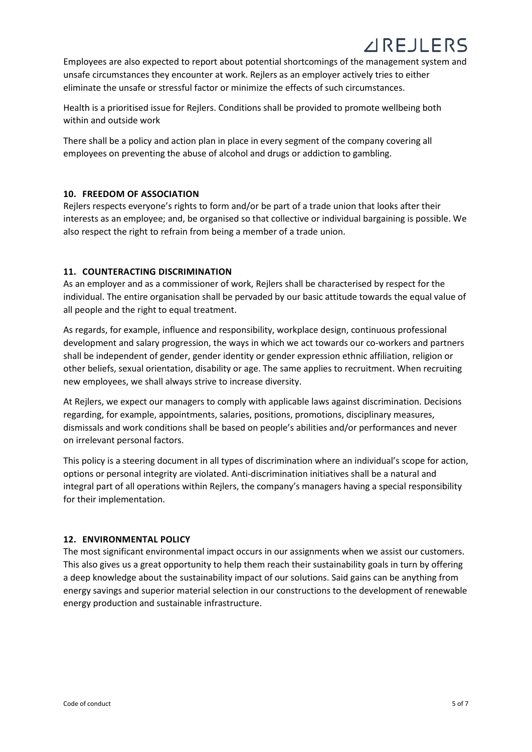## **AIRE JI FRS**

Employees are also expected to report about potential shortcomings of the management system and unsafe circumstances they encounter at work. Rejlers as an employer actively tries to either eliminate the unsafe or stressful factor or minimize the effects of such circumstances.

Health is a prioritised issue for Rejlers. Conditions shall be provided to promote wellbeing both within and outside work

There shall be a policy and action plan in place in every segment of the company covering all employees on preventing the abuse of alcohol and drugs or addiction to gambling.

#### **10. FREEDOM OF ASSOCIATION**

Rejlers respects everyone's rights to form and/or be part of a trade union that looks after their interests as an employee; and, be organised so that collective or individual bargaining is possible. We also respect the right to refrain from being a member of a trade union.

#### **11. COUNTERACTING DISCRIMINATION**

As an employer and as a commissioner of work, Rejlers shall be characterised by respect for the individual. The entire organisation shall be pervaded by our basic attitude towards the equal value of all people and the right to equal treatment.

As regards, for example, influence and responsibility, workplace design, continuous professional development and salary progression, the ways in which we act towards our co-workers and partners shall be independent of gender, gender identity or gender expression ethnic affiliation, religion or other beliefs, sexual orientation, disability or age. The same applies to recruitment. When recruiting new employees, we shall always strive to increase diversity.

At Rejlers, we expect our managers to comply with applicable laws against discrimination. Decisions regarding, for example, appointments, salaries, positions, promotions, disciplinary measures, dismissals and work conditions shall be based on people's abilities and/or performances and never on irrelevant personal factors.

This policy is a steering document in all types of discrimination where an individual's scope for action, options or personal integrity are violated. Anti-discrimination initiatives shall be a natural and integral part of all operations within Rejlers, the company's managers having a special responsibility for their implementation.

#### **12. ENVIRONMENTAL POLICY**

The most significant environmental impact occurs in our assignments when we assist our customers. This also gives us a great opportunity to help them reach their sustainability goals in turn by offering a deep knowledge about the sustainability impact of our solutions. Said gains can be anything from energy savings and superior material selection in our constructions to the development of renewable energy production and sustainable infrastructure.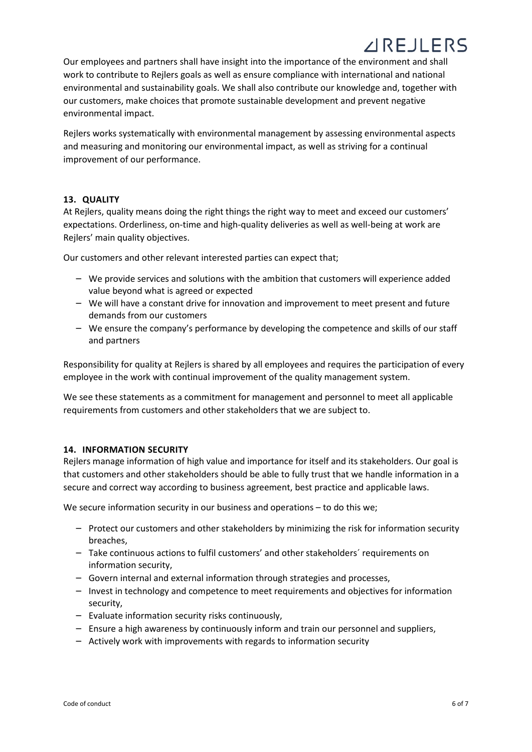## **AIRE JI FRS**

Our employees and partners shall have insight into the importance of the environment and shall work to contribute to Rejlers goals as well as ensure compliance with international and national environmental and sustainability goals. We shall also contribute our knowledge and, together with our customers, make choices that promote sustainable development and prevent negative environmental impact.

Rejlers works systematically with environmental management by assessing environmental aspects and measuring and monitoring our environmental impact, as well as striving for a continual improvement of our performance.

#### **13. QUALITY**

At Rejlers, quality means doing the right things the right way to meet and exceed our customers' expectations. Orderliness, on-time and high-quality deliveries as well as well-being at work are Rejlers' main quality objectives.

Our customers and other relevant interested parties can expect that;

- We provide services and solutions with the ambition that customers will experience added value beyond what is agreed or expected
- We will have a constant drive for innovation and improvement to meet present and future demands from our customers
- We ensure the company's performance by developing the competence and skills of our staff and partners

Responsibility for quality at Rejlers is shared by all employees and requires the participation of every employee in the work with continual improvement of the quality management system.

We see these statements as a commitment for management and personnel to meet all applicable requirements from customers and other stakeholders that we are subject to.

#### **14. INFORMATION SECURITY**

Rejlers manage information of high value and importance for itself and its stakeholders. Our goal is that customers and other stakeholders should be able to fully trust that we handle information in a secure and correct way according to business agreement, best practice and applicable laws.

We secure information security in our business and operations – to do this we;

- Protect our customers and other stakeholders by minimizing the risk for information security breaches,
- Take continuous actions to fulfil customers' and other stakeholders´ requirements on information security,
- Govern internal and external information through strategies and processes,
- Invest in technology and competence to meet requirements and objectives for information security,
- Evaluate information security risks continuously,
- Ensure a high awareness by continuously inform and train our personnel and suppliers,
- Actively work with improvements with regards to information security